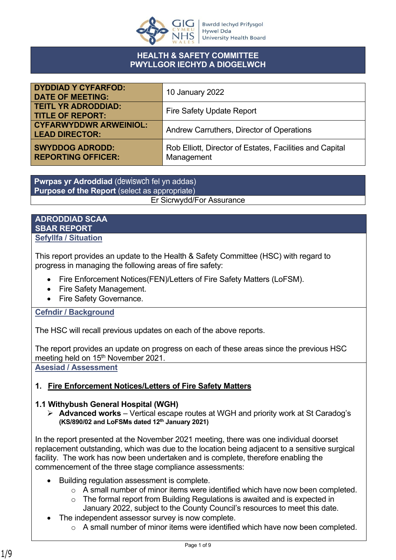

## **HEALTH & SAFETY COMMITTEE PWYLLGOR IECHYD A DIOGELWCH**

| <b>DYDDIAD Y CYFARFOD:</b><br><b>DATE OF MEETING:</b>  | 10 January 2022                                                        |
|--------------------------------------------------------|------------------------------------------------------------------------|
| <b>TEITL YR ADRODDIAD:</b><br><b>TITLE OF REPORT:</b>  | <b>Fire Safety Update Report</b>                                       |
| <b>CYFARWYDDWR ARWEINIOL:</b><br><b>LEAD DIRECTOR:</b> | Andrew Carruthers, Director of Operations                              |
| <b>SWYDDOG ADRODD:</b><br><b>REPORTING OFFICER:</b>    | Rob Elliott, Director of Estates, Facilities and Capital<br>Management |

**Pwrpas yr Adroddiad** (dewiswch fel yn addas) **Purpose of the Report** (select as appropriate) Er Sicrwydd/For Assurance

### **ADRODDIAD SCAA SBAR REPORT Sefyllfa / Situation**

This report provides an update to the Health & Safety Committee (HSC) with regard to progress in managing the following areas of fire safety:

- Fire Enforcement Notices(FEN)/Letters of Fire Safety Matters (LoFSM).
- Fire Safety Management.
- Fire Safety Governance.

## **Cefndir / Background**

The HSC will recall previous updates on each of the above reports.

The report provides an update on progress on each of these areas since the previous HSC meeting held on 15<sup>th</sup> November 2021.

**Asesiad / Assessment**

# **1. Fire Enforcement Notices/Letters of Fire Safety Matters**

## **1.1 Withybush General Hospital (WGH)**

 **Advanced works** – Vertical escape routes at WGH and priority work at St Caradog's **(KS/890/02 and LoFSMs dated 12th January 2021)**

In the report presented at the November 2021 meeting, there was one individual doorset replacement outstanding, which was due to the location being adjacent to a sensitive surgical facility. The work has now been undertaken and is complete, therefore enabling the commencement of the three stage compliance assessments:

- Building regulation assessment is complete.
	- $\circ$  A small number of minor items were identified which have now been completed.
	- o The formal report from Building Regulations is awaited and is expected in January 2022, subject to the County Council's resources to meet this date.
- The independent assessor survey is now complete.
	- o A small number of minor items were identified which have now been completed.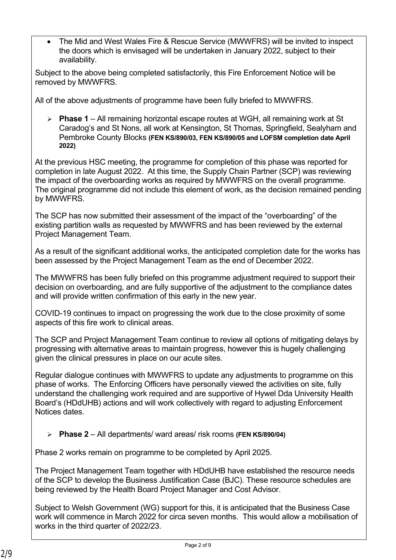The Mid and West Wales Fire & Rescue Service (MWWFRS) will be invited to inspect the doors which is envisaged will be undertaken in January 2022, subject to their availability.

Subject to the above being completed satisfactorily, this Fire Enforcement Notice will be removed by MWWFRS.

All of the above adjustments of programme have been fully briefed to MWWFRS.

 **Phase 1** – All remaining horizontal escape routes at WGH, all remaining work at St Caradog's and St Nons, all work at Kensington, St Thomas, Springfield, Sealyham and Pembroke County Blocks **(FEN KS/890/03, FEN KS/890/05 and LOFSM completion date April 2022)**

At the previous HSC meeting, the programme for completion of this phase was reported for completion in late August 2022. At this time, the Supply Chain Partner (SCP) was reviewing the impact of the overboarding works as required by MWWFRS on the overall programme. The original programme did not include this element of work, as the decision remained pending by MWWFRS.

The SCP has now submitted their assessment of the impact of the "overboarding" of the existing partition walls as requested by MWWFRS and has been reviewed by the external Project Management Team.

As a result of the significant additional works, the anticipated completion date for the works has been assessed by the Project Management Team as the end of December 2022.

The MWWFRS has been fully briefed on this programme adjustment required to support their decision on overboarding, and are fully supportive of the adjustment to the compliance dates and will provide written confirmation of this early in the new year.

COVID-19 continues to impact on progressing the work due to the close proximity of some aspects of this fire work to clinical areas.

The SCP and Project Management Team continue to review all options of mitigating delays by progressing with alternative areas to maintain progress, however this is hugely challenging given the clinical pressures in place on our acute sites.

Regular dialogue continues with MWWFRS to update any adjustments to programme on this phase of works. The Enforcing Officers have personally viewed the activities on site, fully understand the challenging work required and are supportive of Hywel Dda University Health Board's (HDdUHB) actions and will work collectively with regard to adjusting Enforcement Notices dates.

**Phase 2** – All departments/ ward areas/ risk rooms **(FEN KS/890/04)**

Phase 2 works remain on programme to be completed by April 2025.

The Project Management Team together with HDdUHB have established the resource needs of the SCP to develop the Business Justification Case (BJC). These resource schedules are being reviewed by the Health Board Project Manager and Cost Advisor.

Subject to Welsh Government (WG) support for this, it is anticipated that the Business Case work will commence in March 2022 for circa seven months. This would allow a mobilisation of works in the third quarter of 2022/23.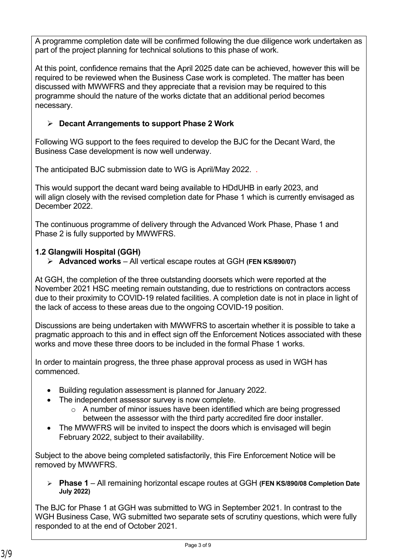A programme completion date will be confirmed following the due diligence work undertaken as part of the project planning for technical solutions to this phase of work.

At this point, confidence remains that the April 2025 date can be achieved, however this will be required to be reviewed when the Business Case work is completed. The matter has been discussed with MWWFRS and they appreciate that a revision may be required to this programme should the nature of the works dictate that an additional period becomes necessary.

# **Decant Arrangements to support Phase 2 Work**

Following WG support to the fees required to develop the BJC for the Decant Ward, the Business Case development is now well underway.

The anticipated BJC submission date to WG is April/May 2022. .

This would support the decant ward being available to HDdUHB in early 2023, and will align closely with the revised completion date for Phase 1 which is currently envisaged as December 2022.

The continuous programme of delivery through the Advanced Work Phase, Phase 1 and Phase 2 is fully supported by MWWFRS.

# **1.2 Glangwili Hospital (GGH)**

**Advanced works** – All vertical escape routes at GGH **(FEN KS/890/07)**

At GGH, the completion of the three outstanding doorsets which were reported at the November 2021 HSC meeting remain outstanding, due to restrictions on contractors access due to their proximity to COVID-19 related facilities. A completion date is not in place in light of the lack of access to these areas due to the ongoing COVID-19 position.

Discussions are being undertaken with MWWFRS to ascertain whether it is possible to take a pragmatic approach to this and in effect sign off the Enforcement Notices associated with these works and move these three doors to be included in the formal Phase 1 works.

In order to maintain progress, the three phase approval process as used in WGH has commenced.

- Building regulation assessment is planned for January 2022.
- The independent assessor survey is now complete.
	- $\circ$  A number of minor issues have been identified which are being progressed between the assessor with the third party accredited fire door installer.
- The MWWFRS will be invited to inspect the doors which is envisaged will begin February 2022, subject to their availability.

Subject to the above being completed satisfactorily, this Fire Enforcement Notice will be removed by MWWFRS.

 **Phase 1** – All remaining horizontal escape routes at GGH **(FEN KS/890/08 Completion Date July 2022)**

The BJC for Phase 1 at GGH was submitted to WG in September 2021. In contrast to the WGH Business Case, WG submitted two separate sets of scrutiny questions, which were fully responded to at the end of October 2021.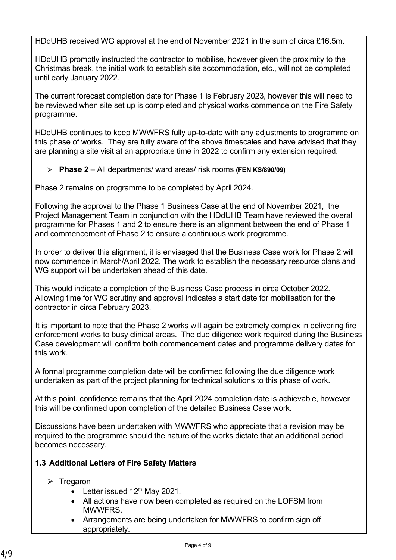HDdUHB received WG approval at the end of November 2021 in the sum of circa £16.5m.

HDdUHB promptly instructed the contractor to mobilise, however given the proximity to the Christmas break, the initial work to establish site accommodation, etc., will not be completed until early January 2022.

The current forecast completion date for Phase 1 is February 2023, however this will need to be reviewed when site set up is completed and physical works commence on the Fire Safety programme.

HDdUHB continues to keep MWWFRS fully up-to-date with any adjustments to programme on this phase of works. They are fully aware of the above timescales and have advised that they are planning a site visit at an appropriate time in 2022 to confirm any extension required.

**Phase 2** – All departments/ ward areas/ risk rooms **(FEN KS/890/09)**

Phase 2 remains on programme to be completed by April 2024.

Following the approval to the Phase 1 Business Case at the end of November 2021, the Project Management Team in conjunction with the HDdUHB Team have reviewed the overall programme for Phases 1 and 2 to ensure there is an alignment between the end of Phase 1 and commencement of Phase 2 to ensure a continuous work programme.

In order to deliver this alignment, it is envisaged that the Business Case work for Phase 2 will now commence in March/April 2022. The work to establish the necessary resource plans and WG support will be undertaken ahead of this date.

This would indicate a completion of the Business Case process in circa October 2022. Allowing time for WG scrutiny and approval indicates a start date for mobilisation for the contractor in circa February 2023.

It is important to note that the Phase 2 works will again be extremely complex in delivering fire enforcement works to busy clinical areas. The due diligence work required during the Business Case development will confirm both commencement dates and programme delivery dates for this work.

A formal programme completion date will be confirmed following the due diligence work undertaken as part of the project planning for technical solutions to this phase of work.

At this point, confidence remains that the April 2024 completion date is achievable, however this will be confirmed upon completion of the detailed Business Case work.

Discussions have been undertaken with MWWFRS who appreciate that a revision may be required to the programme should the nature of the works dictate that an additional period becomes necessary.

## **1.3 Additional Letters of Fire Safety Matters**

- $\triangleright$  Tregaron
	- Letter issued  $12<sup>th</sup>$  May 2021.
	- All actions have now been completed as required on the LOFSM from MWWFRS.
	- Arrangements are being undertaken for MWWFRS to confirm sign off appropriately.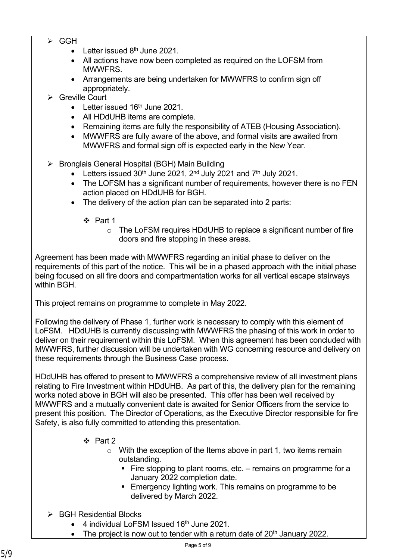- $\triangleright$  GGH
	- $\bullet$  Letter issued 8<sup>th</sup> June 2021.
	- All actions have now been completed as required on the LOFSM from MWWFRS.
	- Arrangements are being undertaken for MWWFRS to confirm sign off appropriately.
- Greville Court
	- $\bullet$  Letter issued 16<sup>th</sup> June 2021.
	- All HDdUHB items are complete.
	- Remaining items are fully the responsibility of ATEB (Housing Association).
	- MWWFRS are fully aware of the above, and formal visits are awaited from MWWFRS and formal sign off is expected early in the New Year.
- ▶ Bronglais General Hospital (BGH) Main Building
	- $\bullet$  Letters issued 30<sup>th</sup> June 2021, 2<sup>nd</sup> July 2021 and 7<sup>th</sup> July 2021.
	- The LOFSM has a significant number of requirements, however there is no FEN action placed on HDdUHB for BGH.
	- The delivery of the action plan can be separated into 2 parts:
		- $\div$  Part 1
			- o The LoFSM requires HDdUHB to replace a significant number of fire doors and fire stopping in these areas.

Agreement has been made with MWWFRS regarding an initial phase to deliver on the requirements of this part of the notice. This will be in a phased approach with the initial phase being focused on all fire doors and compartmentation works for all vertical escape stairways within BGH.

This project remains on programme to complete in May 2022.

Following the delivery of Phase 1, further work is necessary to comply with this element of LoFSM. HDdUHB is currently discussing with MWWFRS the phasing of this work in order to deliver on their requirement within this LoFSM. When this agreement has been concluded with MWWFRS, further discussion will be undertaken with WG concerning resource and delivery on these requirements through the Business Case process.

HDdUHB has offered to present to MWWFRS a comprehensive review of all investment plans relating to Fire Investment within HDdUHB. As part of this, the delivery plan for the remaining works noted above in BGH will also be presented. This offer has been well received by MWWFRS and a mutually convenient date is awaited for Senior Officers from the service to present this position. The Director of Operations, as the Executive Director responsible for fire Safety, is also fully committed to attending this presentation.

- $\div$  Part 2
	- $\circ$  With the exception of the Items above in part 1, two items remain outstanding.
		- Fire stopping to plant rooms, etc. remains on programme for a January 2022 completion date.
		- **Emergency lighting work. This remains on programme to be** delivered by March 2022.
- $\triangleright$  BGH Residential Blocks
	- $\bullet$  4 individual LoFSM Issued 16<sup>th</sup> June 2021.
	- $\bullet$  The project is now out to tender with a return date of 20<sup>th</sup> January 2022.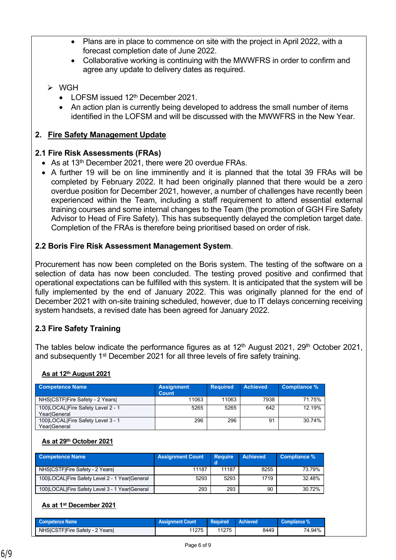- Plans are in place to commence on site with the project in April 2022, with a forecast completion date of June 2022.
- Collaborative working is continuing with the MWWFRS in order to confirm and agree any update to delivery dates as required.

# $\triangleright$  WGH

- LOFSM issued 12<sup>th</sup> December 2021
- An action plan is currently being developed to address the small number of items identified in the LOFSM and will be discussed with the MWWFRS in the New Year.

## **2. Fire Safety Management Update**

## **2.1 Fire Risk Assessments (FRAs)**

- As at 13<sup>th</sup> December 2021, there were 20 overdue FRAs.
- A further 19 will be on line imminently and it is planned that the total 39 FRAs will be completed by February 2022. It had been originally planned that there would be a zero overdue position for December 2021, however, a number of challenges have recently been experienced within the Team, including a staff requirement to attend essential external training courses and some internal changes to the Team (the promotion of GGH Fire Safety Advisor to Head of Fire Safety). This has subsequently delayed the completion target date. Completion of the FRAs is therefore being prioritised based on order of risk.

## **2.2 Boris Fire Risk Assessment Management System**.

Procurement has now been completed on the Boris system. The testing of the software on a selection of data has now been concluded. The testing proved positive and confirmed that operational expectations can be fulfilled with this system. It is anticipated that the system will be fully implemented by the end of January 2022. This was originally planned for the end of December 2021 with on-site training scheduled, however, due to IT delays concerning receiving system handsets, a revised date has been agreed for January 2022.

# **2.3 Fire Safety Training**

The tables below indicate the performance figures as at  $12<sup>th</sup>$  August 2021, 29<sup>th</sup> October 2021, and subsequently 1<sup>st</sup> December 2021 for all three levels of fire safety training.

#### **As at 12th August 2021**

| <b>Competence Name</b>                            | <b>Assignment</b><br>Count | <b>Required</b> | <b>Achieved</b> | Compliance % |
|---------------------------------------------------|----------------------------|-----------------|-----------------|--------------|
| NHSICSTFIFire Safety - 2 Years                    | 11063                      | 11063           | 7938            | 71.75%       |
| 100 LOCAL Fire Safety Level 2 - 1<br>YearlGeneral | 5265                       | 5265            | 642             | 12 19%       |
| 100 LOCAL Fire Safety Level 3 - 1<br>YearlGeneral | 296                        | 296             | 91              | 30 74%       |

## **As at 29th October 2021**

| <b>Competence Name</b>                         | <b>Assignment Count</b> | <b>Require</b> | <b>Achieved</b> | Compliance % |
|------------------------------------------------|-------------------------|----------------|-----------------|--------------|
| NHS CSTF Fire Safety - 2 Years                 | 11187                   | 11187          | 8255            | 73.79%       |
| 100 LOCAL Fire Safety Level 2 - 1 Year General | 5293                    | 5293           | 1719            | 32.48%       |
| 100 LOCAL Fire Safety Level 3 - 1 Year General | 293                     | 293            | 90              | 30.72%       |

#### **As at 1st December 2021**

| <b>Competence Name</b>         | <b>Assignment Count</b> | <b>Required</b> | <b>Achieved</b> | Compliance % |
|--------------------------------|-------------------------|-----------------|-----------------|--------------|
| NHS CSTF Fire Safety - 2 Years | 1275                    | 11275           | 8449            | 74.94%       |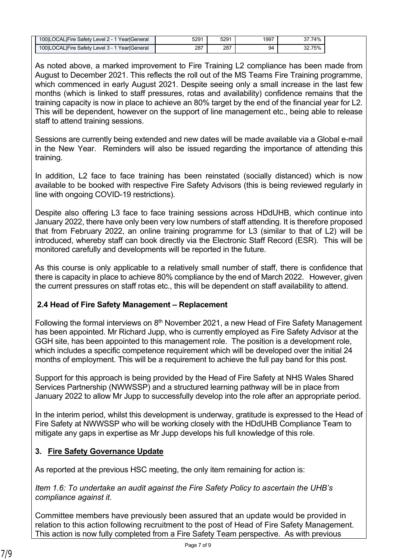| 100ILOCALIFire Safety Level 2 - 1 YearlGeneral | 5291 | 5291 | 1997 | 37.74% |  |
|------------------------------------------------|------|------|------|--------|--|
| 100ILOCALIFire Safety Level 3 - 1 YearlGeneral | 287  | 287  | 94   | 32.75% |  |

As noted above, a marked improvement to Fire Training L2 compliance has been made from August to December 2021. This reflects the roll out of the MS Teams Fire Training programme, which commenced in early August 2021. Despite seeing only a small increase in the last few months (which is linked to staff pressures, rotas and availability) confidence remains that the training capacity is now in place to achieve an 80% target by the end of the financial year for L2. This will be dependent, however on the support of line management etc., being able to release staff to attend training sessions.

Sessions are currently being extended and new dates will be made available via a Global e-mail in the New Year. Reminders will also be issued regarding the importance of attending this training.

In addition, L2 face to face training has been reinstated (socially distanced) which is now available to be booked with respective Fire Safety Advisors (this is being reviewed regularly in line with ongoing COVID-19 restrictions).

Despite also offering L3 face to face training sessions across HDdUHB, which continue into January 2022, there have only been very low numbers of staff attending. It is therefore proposed that from February 2022, an online training programme for L3 (similar to that of L2) will be introduced, whereby staff can book directly via the Electronic Staff Record (ESR). This will be monitored carefully and developments will be reported in the future.

As this course is only applicable to a relatively small number of staff, there is confidence that there is capacity in place to achieve 80% compliance by the end of March 2022. However, given the current pressures on staff rotas etc., this will be dependent on staff availability to attend.

# **1. 2.4 Head of Fire Safety Management – Replacement**

Following the formal interviews on 8<sup>th</sup> November 2021, a new Head of Fire Safety Management has been appointed. Mr Richard Jupp, who is currently employed as Fire Safety Advisor at the GGH site, has been appointed to this management role. The position is a development role, which includes a specific competence requirement which will be developed over the initial 24 months of employment. This will be a requirement to achieve the full pay band for this post.

Support for this approach is being provided by the Head of Fire Safety at NHS Wales Shared Services Partnership (NWWSSP) and a structured learning pathway will be in place from January 2022 to allow Mr Jupp to successfully develop into the role after an appropriate period.

In the interim period, whilst this development is underway, gratitude is expressed to the Head of Fire Safety at NWWSSP who will be working closely with the HDdUHB Compliance Team to mitigate any gaps in expertise as Mr Jupp develops his full knowledge of this role.

# **3. Fire Safety Governance Update**

As reported at the previous HSC meeting, the only item remaining for action is:

*Item 1.6: To undertake an audit against the Fire Safety Policy to ascertain the UHB's compliance against it.*

Committee members have previously been assured that an update would be provided in relation to this action following recruitment to the post of Head of Fire Safety Management. This action is now fully completed from a Fire Safety Team perspective. As with previous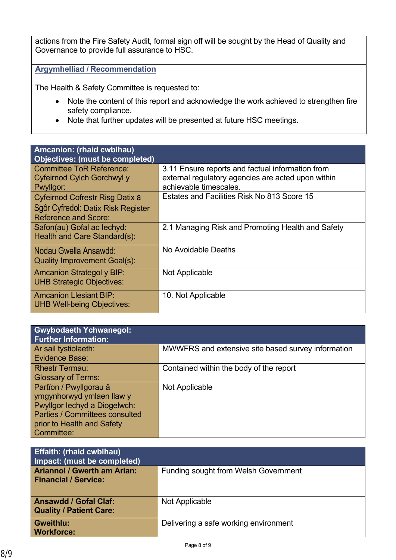actions from the Fire Safety Audit, formal sign off will be sought by the Head of Quality and Governance to provide full assurance to HSC.

**Argymhelliad / Recommendation**

The Health & Safety Committee is requested to:

- Note the content of this report and acknowledge the work achieved to strengthen fire safety compliance.
- Note that further updates will be presented at future HSC meetings.

| Amcanion: (rhaid cwblhau)                                                  |                                                                                                                                  |
|----------------------------------------------------------------------------|----------------------------------------------------------------------------------------------------------------------------------|
| <b>Objectives: (must be completed)</b>                                     |                                                                                                                                  |
| <b>Committee ToR Reference:</b><br>Cyfeirnod Cylch Gorchwyl y<br>Pwyllgor: | 3.11 Ensure reports and factual information from<br>external regulatory agencies are acted upon within<br>achievable timescales. |
| Cyfeirnod Cofrestr Risg Datix a                                            | Estates and Facilities Risk No 813 Score 15                                                                                      |
| Sgôr Cyfredol: Datix Risk Register<br><b>Reference and Score:</b>          |                                                                                                                                  |
| Safon(au) Gofal ac lechyd:<br>Health and Care Standard(s):                 | 2.1 Managing Risk and Promoting Health and Safety                                                                                |
| Nodau Gwella Ansawdd:<br><b>Quality Improvement Goal(s):</b>               | No Avoidable Deaths                                                                                                              |
| <b>Amcanion Strategol y BIP:</b><br><b>UHB Strategic Objectives:</b>       | Not Applicable                                                                                                                   |
| <b>Amcanion Llesiant BIP:</b><br><b>UHB Well-being Objectives:</b>         | 10. Not Applicable                                                                                                               |
|                                                                            |                                                                                                                                  |

| <b>Gwybodaeth Ychwanegol:</b><br><b>Further Information:</b>                                                                                                      |                                                    |
|-------------------------------------------------------------------------------------------------------------------------------------------------------------------|----------------------------------------------------|
| Ar sail tystiolaeth:<br>Evidence Base:                                                                                                                            | MWWFRS and extensive site based survey information |
| <b>Rhestr Termau:</b><br><b>Glossary of Terms:</b>                                                                                                                | Contained within the body of the report            |
| Partïon / Pwyllgorau â<br>ymgynhorwyd ymlaen llaw y<br>Pwyllgor lechyd a Diogelwch:<br>Parties / Committees consulted<br>prior to Health and Safety<br>Committee: | Not Applicable                                     |

| <b>Effaith: (rhaid cwblhau)</b><br>Impact: (must be completed)    |                                             |
|-------------------------------------------------------------------|---------------------------------------------|
| <b>Ariannol / Gwerth am Arian:</b><br><b>Financial / Service:</b> | <b>Funding sought from Welsh Government</b> |
| <b>Ansawdd / Gofal Claf:</b><br><b>Quality / Patient Care:</b>    | Not Applicable                              |
| <b>Gweithlu:</b><br><b>Workforce:</b>                             | Delivering a safe working environment       |